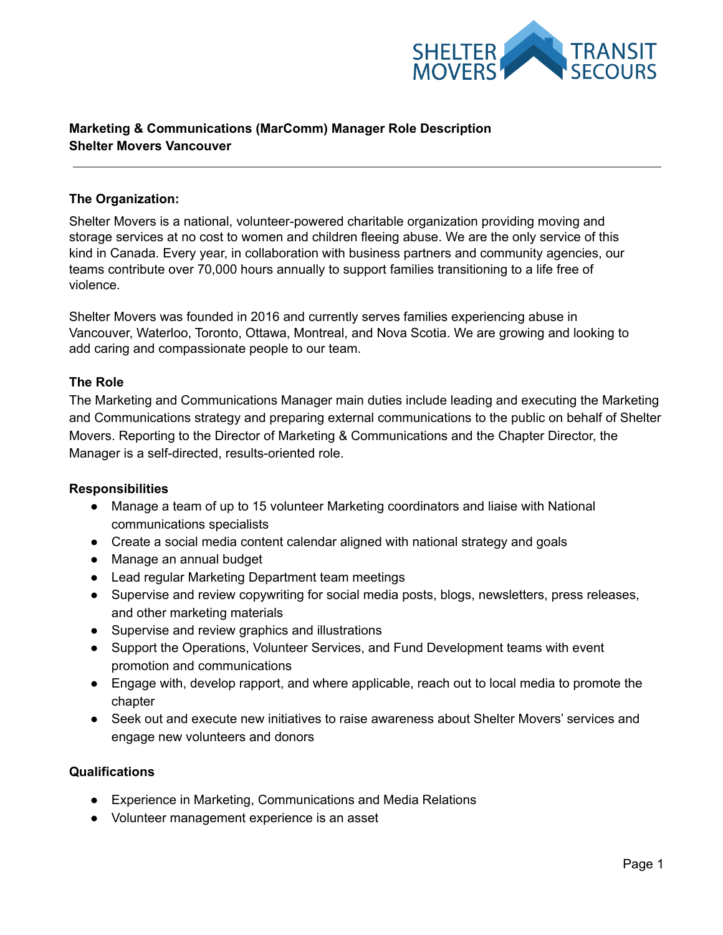

# **Marketing & Communications (MarComm) Manager Role Description Shelter Movers Vancouver**

### **The Organization:**

Shelter Movers is a national, volunteer-powered charitable organization providing moving and storage services at no cost to women and children fleeing abuse. We are the only service of this kind in Canada. Every year, in collaboration with business partners and community agencies, our teams contribute over 70,000 hours annually to support families transitioning to a life free of violence.

Shelter Movers was founded in 2016 and currently serves families experiencing abuse in Vancouver, Waterloo, Toronto, Ottawa, Montreal, and Nova Scotia. We are growing and looking to add caring and compassionate people to our team.

### **The Role**

The Marketing and Communications Manager main duties include leading and executing the Marketing and Communications strategy and preparing external communications to the public on behalf of Shelter Movers. Reporting to the Director of Marketing & Communications and the Chapter Director, the Manager is a self-directed, results-oriented role.

#### **Responsibilities**

- Manage a team of up to 15 volunteer Marketing coordinators and liaise with National communications specialists
- Create a social media content calendar aligned with national strategy and goals
- Manage an annual budget
- Lead regular Marketing Department team meetings
- Supervise and review copywriting for social media posts, blogs, newsletters, press releases, and other marketing materials
- Supervise and review graphics and illustrations
- Support the Operations, Volunteer Services, and Fund Development teams with event promotion and communications
- Engage with, develop rapport, and where applicable, reach out to local media to promote the chapter
- Seek out and execute new initiatives to raise awareness about Shelter Movers' services and engage new volunteers and donors

#### **Qualifications**

- Experience in Marketing, Communications and Media Relations
- Volunteer management experience is an asset